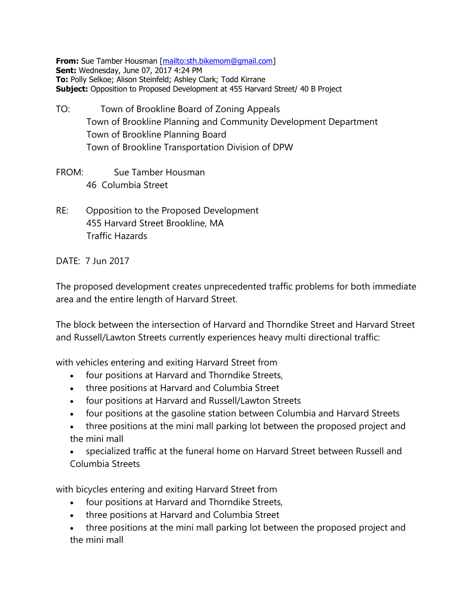**From:** Sue Tamber Housman [\[mailto:sth.bikemom@gmail.com\]](mailto:sth.bikemom@gmail.com) **Sent:** Wednesday, June 07, 2017 4:24 PM **To:** Polly Selkoe; Alison Steinfeld; Ashley Clark; Todd Kirrane **Subject:** Opposition to Proposed Development at 455 Harvard Street/ 40 B Project

- TO: Town of Brookline Board of Zoning Appeals Town of Brookline Planning and Community Development Department Town of Brookline Planning Board Town of Brookline Transportation Division of DPW
- FROM: Sue Tamber Housman 46 Columbia Street
- RE: Opposition to the Proposed Development 455 Harvard Street Brookline, MA Traffic Hazards

DATE: 7 Jun 2017

The proposed development creates unprecedented traffic problems for both immediate area and the entire length of Harvard Street.

The block between the intersection of Harvard and Thorndike Street and Harvard Street and Russell/Lawton Streets currently experiences heavy multi directional traffic:

with vehicles entering and exiting Harvard Street from

- four positions at Harvard and Thorndike Streets,
- three positions at Harvard and Columbia Street
- four positions at Harvard and Russell/Lawton Streets
- four positions at the gasoline station between Columbia and Harvard Streets
- three positions at the mini mall parking lot between the proposed project and the mini mall
- specialized traffic at the funeral home on Harvard Street between Russell and Columbia Streets

with bicycles entering and exiting Harvard Street from

- four positions at Harvard and Thorndike Streets,
- three positions at Harvard and Columbia Street
- three positions at the mini mall parking lot between the proposed project and the mini mall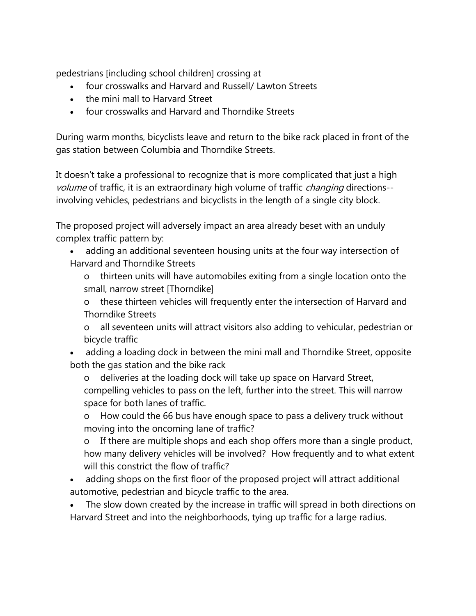pedestrians [including school children] crossing at

- four crosswalks and Harvard and Russell/ Lawton Streets
- the mini mall to Harvard Street
- four crosswalks and Harvard and Thorndike Streets

During warm months, bicyclists leave and return to the bike rack placed in front of the gas station between Columbia and Thorndike Streets.

It doesn't take a professional to recognize that is more complicated that just a high volume of traffic, it is an extraordinary high volume of traffic *changing* directions-involving vehicles, pedestrians and bicyclists in the length of a single city block.

The proposed project will adversely impact an area already beset with an unduly complex traffic pattern by:

- adding an additional seventeen housing units at the four way intersection of Harvard and Thorndike Streets
	- o thirteen units will have automobiles exiting from a single location onto the small, narrow street [Thorndike]

o these thirteen vehicles will frequently enter the intersection of Harvard and Thorndike Streets

o all seventeen units will attract visitors also adding to vehicular, pedestrian or bicycle traffic

• adding a loading dock in between the mini mall and Thorndike Street, opposite both the gas station and the bike rack

o deliveries at the loading dock will take up space on Harvard Street, compelling vehicles to pass on the left, further into the street. This will narrow space for both lanes of traffic.

o How could the 66 bus have enough space to pass a delivery truck without moving into the oncoming lane of traffic?

o If there are multiple shops and each shop offers more than a single product, how many delivery vehicles will be involved? How frequently and to what extent will this constrict the flow of traffic?

 adding shops on the first floor of the proposed project will attract additional automotive, pedestrian and bicycle traffic to the area.

 The slow down created by the increase in traffic will spread in both directions on Harvard Street and into the neighborhoods, tying up traffic for a large radius.